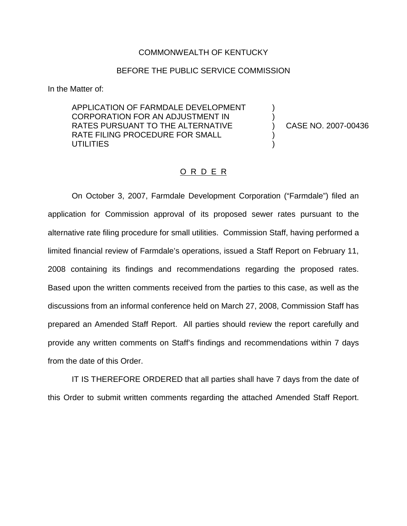#### COMMONWEALTH OF KENTUCKY

#### BEFORE THE PUBLIC SERVICE COMMISSION

In the Matter of:

APPLICATION OF FARMDALE DEVELOPMENT CORPORATION FOR AN ADJUSTMENT IN RATES PURSUANT TO THE ALTERNATIVE RATE FILING PROCEDURE FOR SMALL **UTILITIES** 

) CASE NO. 2007-00436

) )

) )

#### O R D E R

On October 3, 2007, Farmdale Development Corporation ("Farmdale") filed an application for Commission approval of its proposed sewer rates pursuant to the alternative rate filing procedure for small utilities. Commission Staff, having performed a limited financial review of Farmdale's operations, issued a Staff Report on February 11, 2008 containing its findings and recommendations regarding the proposed rates. Based upon the written comments received from the parties to this case, as well as the discussions from an informal conference held on March 27, 2008, Commission Staff has prepared an Amended Staff Report. All parties should review the report carefully and provide any written comments on Staff's findings and recommendations within 7 days from the date of this Order.

IT IS THEREFORE ORDERED that all parties shall have 7 days from the date of this Order to submit written comments regarding the attached Amended Staff Report.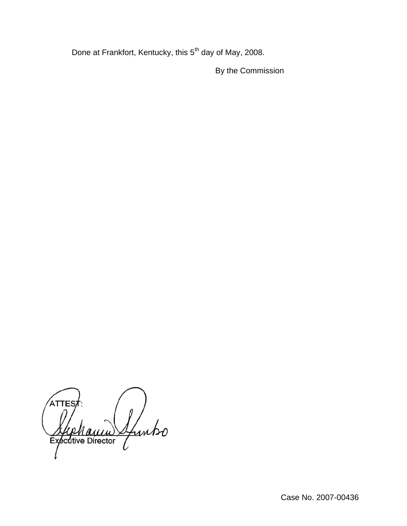Done at Frankfort, Kentucky, this 5<sup>th</sup> day of May, 2008.

By the Commission

ATTES Ifuntso ecutive Director Ex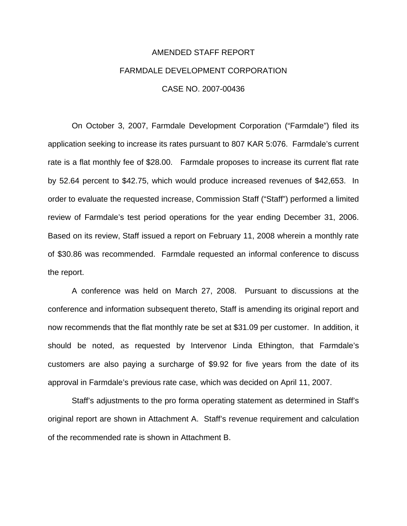# AMENDED STAFF REPORT FARMDALE DEVELOPMENT CORPORATION CASE NO. 2007-00436

On October 3, 2007, Farmdale Development Corporation ("Farmdale") filed its application seeking to increase its rates pursuant to 807 KAR 5:076. Farmdale's current rate is a flat monthly fee of \$28.00. Farmdale proposes to increase its current flat rate by 52.64 percent to \$42.75, which would produce increased revenues of \$42,653. In order to evaluate the requested increase, Commission Staff ("Staff") performed a limited review of Farmdale's test period operations for the year ending December 31, 2006. Based on its review, Staff issued a report on February 11, 2008 wherein a monthly rate of \$30.86 was recommended. Farmdale requested an informal conference to discuss the report.

A conference was held on March 27, 2008. Pursuant to discussions at the conference and information subsequent thereto, Staff is amending its original report and now recommends that the flat monthly rate be set at \$31.09 per customer. In addition, it should be noted, as requested by Intervenor Linda Ethington, that Farmdale's customers are also paying a surcharge of \$9.92 for five years from the date of its approval in Farmdale's previous rate case, which was decided on April 11, 2007.

Staff's adjustments to the pro forma operating statement as determined in Staff's original report are shown in Attachment A. Staff's revenue requirement and calculation of the recommended rate is shown in Attachment B.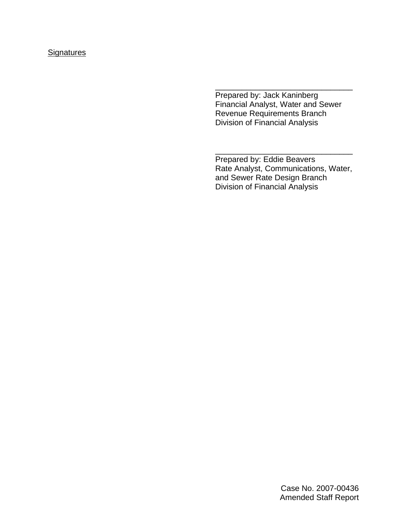## **Signatures**

Prepared by: Jack Kaninberg Financial Analyst, Water and Sewer Revenue Requirements Branch Division of Financial Analysis

\_\_\_\_\_\_\_\_\_\_\_\_\_\_\_\_\_\_\_\_\_\_\_\_\_\_\_\_\_\_\_

Prepared by: Eddie Beavers Rate Analyst, Communications, Water, and Sewer Rate Design Branch Division of Financial Analysis

\_\_\_\_\_\_\_\_\_\_\_\_\_\_\_\_\_\_\_\_\_\_\_\_\_\_\_\_\_\_\_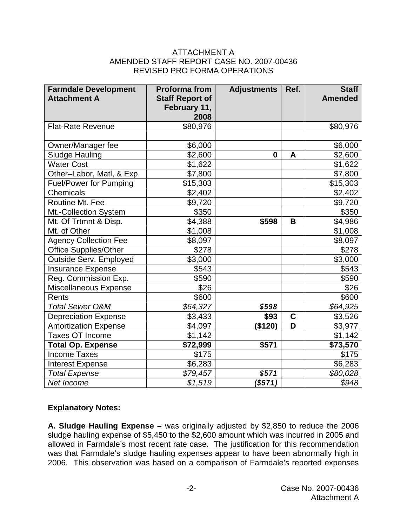## ATTACHMENT A AMENDED STAFF REPORT CASE NO. 2007-00436 REVISED PRO FORMA OPERATIONS

| <b>Farmdale Development</b><br><b>Attachment A</b> | <b>Proforma from</b><br><b>Staff Report of</b><br>February 11,<br>2008 | <b>Adjustments</b> | Ref. | <b>Staff</b><br><b>Amended</b> |
|----------------------------------------------------|------------------------------------------------------------------------|--------------------|------|--------------------------------|
| <b>Flat-Rate Revenue</b>                           | \$80,976                                                               |                    |      | \$80,976                       |
|                                                    |                                                                        |                    |      |                                |
| Owner/Manager fee                                  | \$6,000                                                                |                    |      | \$6,000                        |
| <b>Sludge Hauling</b>                              | \$2,600                                                                | $\bf{0}$           | A    | \$2,600                        |
| <b>Water Cost</b>                                  | \$1,622                                                                |                    |      | \$1,622                        |
| Other-Labor, Matl, & Exp.                          | \$7,800                                                                |                    |      | \$7,800                        |
| <b>Fuel/Power for Pumping</b>                      | \$15,303                                                               |                    |      | \$15,303                       |
| Chemicals                                          | \$2,402                                                                |                    |      | \$2,402                        |
| Routine Mt. Fee                                    | \$9,720                                                                |                    |      | \$9,720                        |
| Mt.-Collection System                              | \$350                                                                  |                    |      | \$350                          |
| Mt. Of Trtmnt & Disp.                              | \$4,388                                                                | \$598              | B    | \$4,986                        |
| Mt. of Other                                       | \$1,008                                                                |                    |      | \$1,008                        |
| <b>Agency Collection Fee</b>                       | \$8,097                                                                |                    |      | \$8,097                        |
| Office Supplies/Other                              | \$278                                                                  |                    |      | \$278                          |
| Outside Serv. Employed                             | \$3,000                                                                |                    |      | \$3,000                        |
| <b>Insurance Expense</b>                           | \$543                                                                  |                    |      | \$543                          |
| Reg. Commission Exp.                               | \$590                                                                  |                    |      | \$590                          |
| Miscellaneous Expense                              | \$26                                                                   |                    |      | \$26                           |
| Rents                                              | \$600                                                                  |                    |      | \$600                          |
| <b>Total Sewer O&amp;M</b>                         | \$64,327                                                               | \$598              |      | \$64,925                       |
| <b>Depreciation Expense</b>                        | \$3,433                                                                | \$93               | C    | \$3,526                        |
| <b>Amortization Expense</b>                        | \$4,097                                                                | (\$120)            | D    | \$3,977                        |
| <b>Taxes OT Income</b>                             | \$1,142                                                                |                    |      | \$1,142                        |
| <b>Total Op. Expense</b>                           | \$72,999                                                               | \$571              |      | \$73,570                       |
| <b>Income Taxes</b>                                | \$175                                                                  |                    |      | \$175                          |
| <b>Interest Expense</b>                            | \$6,283                                                                |                    |      | \$6,283                        |
| <b>Total Expense</b>                               | \$79,457                                                               | \$571              |      | \$80,028                       |
| Net Income                                         | \$1,519                                                                | (S571)             |      | \$948                          |

## **Explanatory Notes:**

**A. Sludge Hauling Expense –** was originally adjusted by \$2,850 to reduce the 2006 sludge hauling expense of \$5,450 to the \$2,600 amount which was incurred in 2005 and allowed in Farmdale's most recent rate case. The justification for this recommendation was that Farmdale's sludge hauling expenses appear to have been abnormally high in 2006. This observation was based on a comparison of Farmdale's reported expenses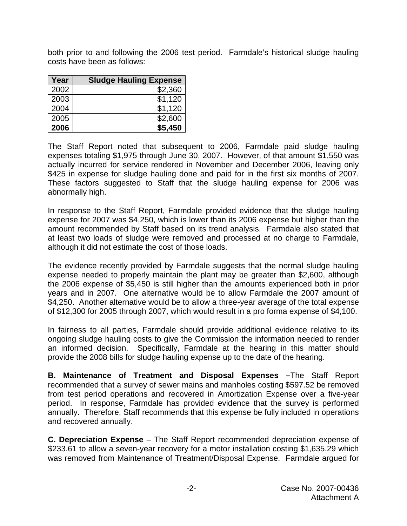both prior to and following the 2006 test period. Farmdale's historical sludge hauling costs have been as follows:

| Year | <b>Sludge Hauling Expense</b> |
|------|-------------------------------|
| 2002 | \$2,360                       |
| 2003 | \$1,120                       |
| 2004 | \$1,120                       |
| 2005 | \$2,600                       |
| 2006 | \$5,450                       |

The Staff Report noted that subsequent to 2006, Farmdale paid sludge hauling expenses totaling \$1,975 through June 30, 2007. However, of that amount \$1,550 was actually incurred for service rendered in November and December 2006, leaving only \$425 in expense for sludge hauling done and paid for in the first six months of 2007. These factors suggested to Staff that the sludge hauling expense for 2006 was abnormally high.

In response to the Staff Report, Farmdale provided evidence that the sludge hauling expense for 2007 was \$4,250, which is lower than its 2006 expense but higher than the amount recommended by Staff based on its trend analysis. Farmdale also stated that at least two loads of sludge were removed and processed at no charge to Farmdale, although it did not estimate the cost of those loads.

The evidence recently provided by Farmdale suggests that the normal sludge hauling expense needed to properly maintain the plant may be greater than \$2,600, although the 2006 expense of \$5,450 is still higher than the amounts experienced both in prior years and in 2007. One alternative would be to allow Farmdale the 2007 amount of \$4,250. Another alternative would be to allow a three-year average of the total expense of \$12,300 for 2005 through 2007, which would result in a pro forma expense of \$4,100.

In fairness to all parties, Farmdale should provide additional evidence relative to its ongoing sludge hauling costs to give the Commission the information needed to render an informed decision. Specifically, Farmdale at the hearing in this matter should provide the 2008 bills for sludge hauling expense up to the date of the hearing.

**B. Maintenance of Treatment and Disposal Expenses –**The Staff Report recommended that a survey of sewer mains and manholes costing \$597.52 be removed from test period operations and recovered in Amortization Expense over a five-year period. In response, Farmdale has provided evidence that the survey is performed annually. Therefore, Staff recommends that this expense be fully included in operations and recovered annually.

**C. Depreciation Expense** – The Staff Report recommended depreciation expense of \$233.61 to allow a seven-year recovery for a motor installation costing \$1,635.29 which was removed from Maintenance of Treatment/Disposal Expense. Farmdale argued for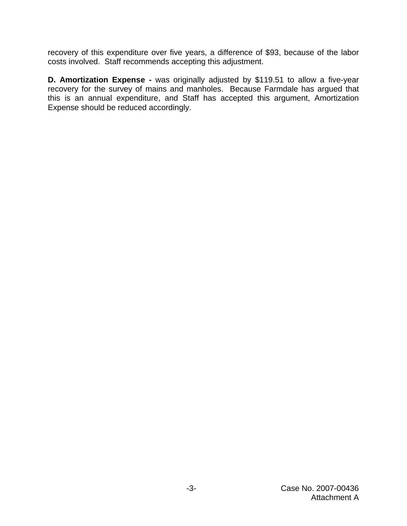recovery of this expenditure over five years, a difference of \$93, because of the labor costs involved. Staff recommends accepting this adjustment.

**D. Amortization Expense -** was originally adjusted by \$119.51 to allow a five-year recovery for the survey of mains and manholes. Because Farmdale has argued that this is an annual expenditure, and Staff has accepted this argument, Amortization Expense should be reduced accordingly.